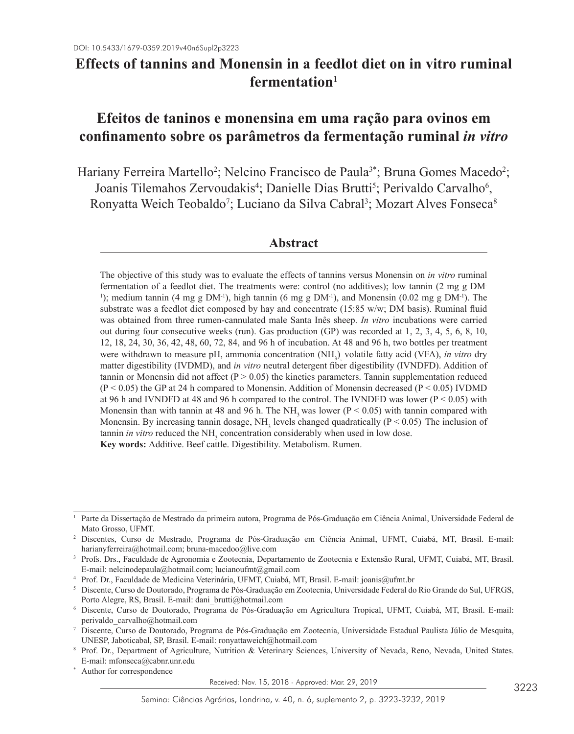# **Effects of tannins and Monensin in a feedlot diet on in vitro ruminal fermentation1**

# **Efeitos de taninos e monensina em uma ração para ovinos em confinamento sobre os parâmetros da fermentação ruminal** *in vitro*

Hariany Ferreira Martello<sup>2</sup>; Nelcino Francisco de Paula<sup>3\*</sup>; Bruna Gomes Macedo<sup>2</sup>; Joanis Tilemahos Zervoudakis<sup>4</sup>; Danielle Dias Brutti<sup>5</sup>; Perivaldo Carvalho<sup>6</sup>, Ronyatta Weich Teobaldo<sup>7</sup>; Luciano da Silva Cabral<sup>3</sup>; Mozart Alves Fonseca<sup>8</sup>

## **Abstract**

The objective of this study was to evaluate the effects of tannins versus Monensin on *in vitro* ruminal fermentation of a feedlot diet. The treatments were: control (no additives); low tannin (2 mg g DM-<sup>1</sup>); medium tannin (4 mg g DM<sup>-1</sup>), high tannin (6 mg g DM<sup>-1</sup>), and Monensin (0.02 mg g DM<sup>-1</sup>). The substrate was a feedlot diet composed by hay and concentrate (15:85 w/w; DM basis). Ruminal fluid was obtained from three rumen-cannulated male Santa Inês sheep. *In vitro* incubations were carried out during four consecutive weeks (run). Gas production (GP) was recorded at 1, 2, 3, 4, 5, 6, 8, 10, 12, 18, 24, 30, 36, 42, 48, 60, 72, 84, and 96 h of incubation. At 48 and 96 h, two bottles per treatment were withdrawn to measure pH, ammonia concentration (NH<sub>3</sub>)<sub>,</sub> volatile fatty acid (VFA), *in vitro* dry matter digestibility (IVDMD), and *in vitro* neutral detergent fiber digestibility (IVNDFD). Addition of tannin or Monensin did not affect ( $P > 0.05$ ) the kinetics parameters. Tannin supplementation reduced  $(P < 0.05)$  the GP at 24 h compared to Monensin. Addition of Monensin decreased  $(P < 0.05)$  IVDMD at 96 h and IVNDFD at 48 and 96 h compared to the control. The IVNDFD was lower ( $P < 0.05$ ) with Monensin than with tannin at 48 and 96 h. The NH<sub>3</sub> was lower ( $P < 0.05$ ) with tannin compared with Monensin. By increasing tannin dosage,  $NH<sub>3</sub>$  levels changed quadratically ( $P < 0.05$ ). The inclusion of tannin *in vitro* reduced the NH<sub>3</sub> concentration considerably when used in low dose. **Key words:** Additive. Beef cattle. Digestibility. Metabolism. Rumen.

Received: Nov. 15, 2018 - Approved: Mar. 29, 2019

<sup>1</sup> Parte da Dissertação de Mestrado da primeira autora, Programa de Pós-Graduação em Ciência Animal, Universidade Federal de Mato Grosso, UFMT.

<sup>2</sup> Discentes, Curso de Mestrado, Programa de Pós-Graduação em Ciência Animal, UFMT, Cuiabá, MT, Brasil. E-mail: harianyferreira@hotmail.com; bruna-macedoo@live.com

<sup>3</sup> Profs. Drs., Faculdade de Agronomia e Zootecnia, Departamento de Zootecnia e Extensão Rural, UFMT, Cuiabá, MT, Brasil. E-mail: nelcinodepaula@hotmail.com; lucianoufmt@gmail.com

<sup>4</sup> Prof. Dr., Faculdade de Medicina Veterinária, UFMT, Cuiabá, MT, Brasil. E-mail: joanis@ufmt.br

<sup>5</sup> Discente, Curso de Doutorado, Programa de Pós-Graduação em Zootecnia, Universidade Federal do Rio Grande do Sul, UFRGS, Porto Alegre, RS, Brasil. E-mail: dani\_brutti@hotmail.com

<sup>6</sup> Discente, Curso de Doutorado, Programa de Pós-Graduação em Agricultura Tropical, UFMT, Cuiabá, MT, Brasil. E-mail: perivaldo\_carvalho@hotmail.com

<sup>7</sup> Discente, Curso de Doutorado, Programa de Pós-Graduação em Zootecnia, Universidade Estadual Paulista Júlio de Mesquita, UNESP, Jaboticabal, SP, Brasil. E-mail: ronyattaweich@hotmail.com

<sup>8</sup> Prof. Dr., Department of Agriculture, Nutrition & Veterinary Sciences, University of Nevada, Reno, Nevada, United States. E-mail: mfonseca@cabnr.unr.edu

Author for correspondence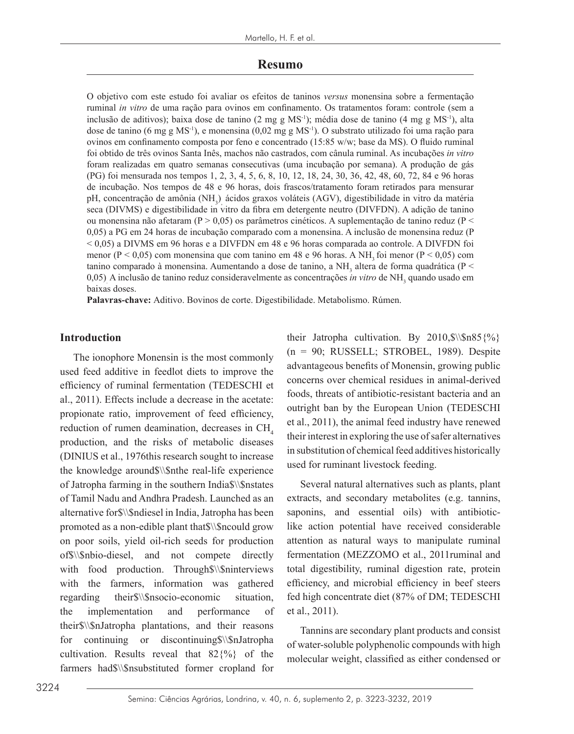### **Resumo**

O objetivo com este estudo foi avaliar os efeitos de taninos *versus* monensina sobre a fermentação ruminal *in vitro* de uma ração para ovinos em confinamento. Os tratamentos foram: controle (sem a inclusão de aditivos); baixa dose de tanino (2 mg g MS-1); média dose de tanino (4 mg g MS-1), alta dose de tanino (6 mg g MS-1), e monensina (0,02 mg g MS-1). O substrato utilizado foi uma ração para ovinos em confinamento composta por feno e concentrado (15:85 w/w; base da MS). O fluido ruminal foi obtido de três ovinos Santa Inês, machos não castrados, com cânula ruminal. As incubações *in vitro* foram realizadas em quatro semanas consecutivas (uma incubação por semana). A produção de gás (PG) foi mensurada nos tempos 1, 2, 3, 4, 5, 6, 8, 10, 12, 18, 24, 30, 36, 42, 48, 60, 72, 84 e 96 horas de incubação. Nos tempos de 48 e 96 horas, dois frascos/tratamento foram retirados para mensurar pH, concentração de amônia (NH<sub>3</sub>)<sub>,</sub> ácidos graxos voláteis (AGV), digestibilidade in vitro da matéria seca (DIVMS) e digestibilidade in vitro da fibra em detergente neutro (DIVFDN). A adição de tanino ou monensina não afetaram ( $P > 0.05$ ) os parâmetros cinéticos. A suplementação de tanino reduz ( $P <$ 0,05) a PG em 24 horas de incubação comparado com a monensina. A inclusão de monensina reduz (P < 0,05) a DIVMS em 96 horas e a DIVFDN em 48 e 96 horas comparada ao controle. A DIVFDN foi menor ( $P < 0.05$ ) com monensina que com tanino em 48 e 96 horas. A NH, foi menor ( $P < 0.05$ ) com tanino comparado à monensina. Aumentando a dose de tanino, a  $NH<sub>3</sub>$  altera de forma quadrática (P < 0,05) A inclusão de tanino reduz consideravelmente as concentrações *in vitro* de NH<sub>3</sub> quando usado em baixas doses.

**Palavras-chave:** Aditivo. Bovinos de corte. Digestibilidade. Metabolismo. Rúmen.

### **Introduction**

The ionophore Monensin is the most commonly used feed additive in feedlot diets to improve the efficiency of ruminal fermentation (TEDESCHI et al., 2011). Effects include a decrease in the acetate: propionate ratio, improvement of feed efficiency, reduction of rumen deamination, decreases in CH<sub>4</sub> production, and the risks of metabolic diseases (DINIUS et al., 1976this research sought to increase the knowledge around\$\\\$nthe real-life experience of Jatropha farming in the southern India\$\\\$nstates of Tamil Nadu and Andhra Pradesh. Launched as an alternative for\$\\\$ndiesel in India, Jatropha has been promoted as a non-edible plant that\$\\\$ncould grow on poor soils, yield oil-rich seeds for production of\$\\\$nbio-diesel, and not compete directly with food production. Through\$\\\$ninterviews with the farmers, information was gathered regarding their\$\\\$nsocio-economic situation, the implementation and performance of their\$\\\$nJatropha plantations, and their reasons for continuing or discontinuing\$\\\$nJatropha cultivation. Results reveal that  $82\frac{9}{6}$  of the farmers had\$\\\$nsubstituted former cropland for their Jatropha cultivation. By 2010,  $\$\$  n85 $\$ %}  $(n = 90; RUSSELL; STROBEL, 1989)$ . Despite advantageous benefits of Monensin, growing public concerns over chemical residues in animal-derived foods, threats of antibiotic-resistant bacteria and an outright ban by the European Union (TEDESCHI et al., 2011), the animal feed industry have renewed their interest in exploring the use of safer alternatives in substitution of chemical feed additives historically used for ruminant livestock feeding.

Several natural alternatives such as plants, plant extracts, and secondary metabolites (e.g. tannins, saponins, and essential oils) with antibioticlike action potential have received considerable attention as natural ways to manipulate ruminal fermentation (MEZZOMO et al., 2011ruminal and total digestibility, ruminal digestion rate, protein efficiency, and microbial efficiency in beef steers fed high concentrate diet (87% of DM; TEDESCHI et al., 2011).

Tannins are secondary plant products and consist of water-soluble polyphenolic compounds with high molecular weight, classified as either condensed or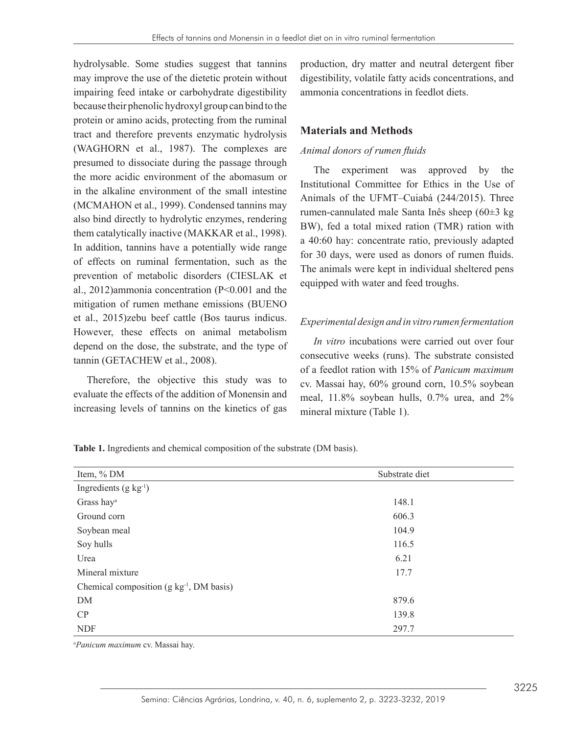hydrolysable. Some studies suggest that tannins may improve the use of the dietetic protein without impairing feed intake or carbohydrate digestibility because their phenolic hydroxyl group can bind to the protein or amino acids, protecting from the ruminal tract and therefore prevents enzymatic hydrolysis (WAGHORN et al., 1987). The complexes are presumed to dissociate during the passage through the more acidic environment of the abomasum or in the alkaline environment of the small intestine (MCMAHON et al., 1999). Condensed tannins may also bind directly to hydrolytic enzymes, rendering them catalytically inactive (MAKKAR et al., 1998). In addition, tannins have a potentially wide range of effects on ruminal fermentation, such as the prevention of metabolic disorders (CIESLAK et al., 2012)ammonia concentration (P<0.001 and the mitigation of rumen methane emissions (BUENO et al., 2015)zebu beef cattle (Bos taurus indicus. However, these effects on animal metabolism depend on the dose, the substrate, and the type of tannin (GETACHEW et al., 2008).

Therefore, the objective this study was to evaluate the effects of the addition of Monensin and increasing levels of tannins on the kinetics of gas production, dry matter and neutral detergent fiber digestibility, volatile fatty acids concentrations, and ammonia concentrations in feedlot diets.

## **Materials and Methods**

### *Animal donors of rumen fluids*

The experiment was approved by the Institutional Committee for Ethics in the Use of Animals of the UFMT–Cuiabá (244/2015). Three rumen-cannulated male Santa Inês sheep (60±3 kg BW), fed a total mixed ration (TMR) ration with a 40:60 hay: concentrate ratio, previously adapted for 30 days, were used as donors of rumen fluids. The animals were kept in individual sheltered pens equipped with water and feed troughs.

## *Experimental design and in vitro rumen fermentation*

*In vitro* incubations were carried out over four consecutive weeks (runs). The substrate consisted of a feedlot ration with 15% of *Panicum maximum* cv. Massai hay, 60% ground corn, 10.5% soybean meal, 11.8% soybean hulls, 0.7% urea, and 2% mineral mixture (Table 1).

**Table 1.** Ingredients and chemical composition of the substrate (DM basis).

| Item, % DM                                       | Substrate diet |  |
|--------------------------------------------------|----------------|--|
| Ingredients $(g \ kg^{-1})$                      |                |  |
| Grass hay <sup>a</sup>                           | 148.1          |  |
| Ground corn                                      | 606.3          |  |
| Soybean meal                                     | 104.9          |  |
| Soy hulls                                        | 116.5          |  |
| Urea                                             | 6.21           |  |
| Mineral mixture                                  | 17.7           |  |
| Chemical composition $(g \ kg^{-1}, DM \ basis)$ |                |  |
| DM                                               | 879.6          |  |
| CP                                               | 139.8          |  |
| <b>NDF</b>                                       | 297.7          |  |

*a Panicum maximum* cv. Massai hay.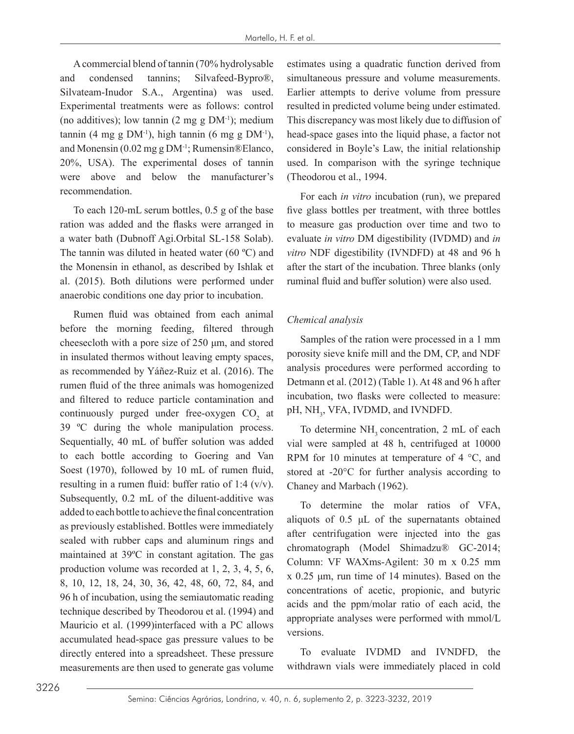A commercial blend of tannin (70% hydrolysable and condensed tannins; Silvafeed-Bypro®, Silvateam-Inudor S.A., Argentina) was used. Experimental treatments were as follows: control (no additives); low tannin  $(2 \text{ mg g DM}^{-1})$ ; medium tannin (4 mg g  $DM^{-1}$ ), high tannin (6 mg g  $DM^{-1}$ ), and Monensin (0.02 mg g DM-1; Rumensin®Elanco, 20%, USA). The experimental doses of tannin were above and below the manufacturer's recommendation.

To each 120-mL serum bottles, 0.5 g of the base ration was added and the flasks were arranged in a water bath (Dubnoff Agi.Orbital SL-158 Solab). The tannin was diluted in heated water (60 ºC) and the Monensin in ethanol, as described by Ishlak et al. (2015). Both dilutions were performed under anaerobic conditions one day prior to incubation.

Rumen fluid was obtained from each animal before the morning feeding, filtered through cheesecloth with a pore size of 250 μm, and stored in insulated thermos without leaving empty spaces, as recommended by Yáñez-Ruiz et al. (2016). The rumen fluid of the three animals was homogenized and filtered to reduce particle contamination and continuously purged under free-oxygen  $CO<sub>2</sub>$  at 39 ºC during the whole manipulation process. Sequentially, 40 mL of buffer solution was added to each bottle according to Goering and Van Soest (1970), followed by 10 mL of rumen fluid, resulting in a rumen fluid: buffer ratio of 1:4  $(v/v)$ . Subsequently, 0.2 mL of the diluent-additive was added to each bottle to achieve the final concentration as previously established. Bottles were immediately sealed with rubber caps and aluminum rings and maintained at 39ºC in constant agitation. The gas production volume was recorded at 1, 2, 3, 4, 5, 6, 8, 10, 12, 18, 24, 30, 36, 42, 48, 60, 72, 84, and 96 h of incubation, using the semiautomatic reading technique described by Theodorou et al. (1994) and Mauricio et al. (1999)interfaced with a PC allows accumulated head-space gas pressure values to be directly entered into a spreadsheet. These pressure measurements are then used to generate gas volume

estimates using a quadratic function derived from simultaneous pressure and volume measurements. Earlier attempts to derive volume from pressure resulted in predicted volume being under estimated. This discrepancy was most likely due to diffusion of head-space gases into the liquid phase, a factor not considered in Boyle's Law, the initial relationship used. In comparison with the syringe technique (Theodorou et al., 1994.

For each *in vitro* incubation (run), we prepared five glass bottles per treatment, with three bottles to measure gas production over time and two to evaluate *in vitro* DM digestibility (IVDMD) and *in vitro* NDF digestibility (IVNDFD) at 48 and 96 h after the start of the incubation. Three blanks (only ruminal fluid and buffer solution) were also used.

## *Chemical analysis*

Samples of the ration were processed in a 1 mm porosity sieve knife mill and the DM, CP, and NDF analysis procedures were performed according to Detmann et al. (2012) (Table 1). At 48 and 96 h after incubation, two flasks were collected to measure: pH, NH<sub>3</sub>, VFA, IVDMD, and IVNDFD.

To determine  $NH<sub>3</sub>$  concentration, 2 mL of each vial were sampled at 48 h, centrifuged at 10000 RPM for 10 minutes at temperature of 4  $^{\circ}$ C, and stored at -20°C for further analysis according to Chaney and Marbach (1962).

To determine the molar ratios of VFA, aliquots of 0.5 μL of the supernatants obtained after centrifugation were injected into the gas chromatograph (Model Shimadzu® GC-2014; Column: VF WAXms-Agilent: 30 m x 0.25 mm x 0.25 μm, run time of 14 minutes). Based on the concentrations of acetic, propionic, and butyric acids and the ppm/molar ratio of each acid, the appropriate analyses were performed with mmol/L versions.

To evaluate IVDMD and IVNDFD, the withdrawn vials were immediately placed in cold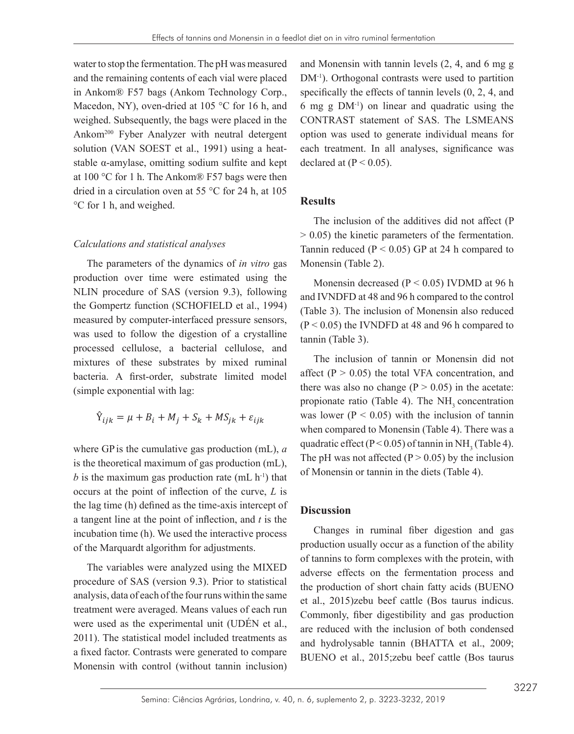water to stop the fermentation. The pH was measured and the remaining contents of each vial were placed in Ankom® F57 bags (Ankom Technology Corp., Macedon, NY), oven-dried at 105 °C for 16 h, and weighed. Subsequently, the bags were placed in the Ankom200 Fyber Analyzer with neutral detergent solution (VAN SOEST et al., 1991) using a heat-each treatment. In solution (VAN SOLST et al., 1991) using a heat-<br>stable α-amylase, omitting sodium sulfite and kept declar at 100 °C for 1 h. The Ankom® F57 bags were then dried in a circulation oven at 55 °C for 24 h, at 105  $^{\circ}$ C for 1 h, and weighed. **Results** ISO 8 **International Communication Communication Communication I** 

#### *Calculations and statistical analyses*

The parameters of the dynamics of *in vitro* gas production over time were estimated using the Monensin decreased (B) NLIN procedure of SAS (version 9.3), following and UNIDED at 48 and  $96$ the Gompertz function (SCHOFIELD et al., 1994) (Table 3). The inclusion of measured by computer-interfaced pressure sensors, was used to follow the digestion of a crystalline  $(P < 0.05)$  the IVNDFD at was used to follow the digestion of a crystalline  $f_{\text{annin}}$  (Table 3) processed cellulose, a bacterial cellulose, and mixtures of these substrates by mixed ruminal and the inclusion of tann bacteria. A first-order, substrate limited model  $\frac{\text{affect}}{\text{the result}}$ (simple exponential with lag:

$$
\hat{Y}_{ijk} = \mu + B_i + M_j + S_k + MS_{jk} + \varepsilon_{ijk}
$$

where GP is the cumulative gas production  $(mL)$ , *a* quadratic cricci  $(1 \times$ is the theoretical maximum of gas production (mL), b is the maximum gas production rate (mL h<sup>-1</sup>) that of Monensin or tannin in t occurs at the point of inflection of the curve,  $L$  is the lag time (h) defined as the time-axis intercept of  $\overline{\textbf{Discussion}}$ a tangent line at the point of inflection, and *t* is the incubation time (h). We used the interactive process of the Marquardt algorithm for adjustments. The production usually occur were compared using an  $\frac{u}{t}$ 

The variables were analyzed using the MIXED of tannins to form c procedure of SAS (version 9.3). Prior to statistical  $\frac{a}{b}$  the production of short d analysis, data of each of the four runs within the same  $\frac{1}{e^{t}}$  and  $\frac{2015}{20}$ treatment were averaged. Means values of each run were used as the experimental unit (UDÉN et al., 2011). The statistical model included treatments as and hydrolygoble topping a fixed factor. Contrasts were generated to compare Monensin with control (without tannin inclusion)

and Monensin with tannin levels (2, 4, and 6 mg g DM<sup>-1</sup>). Orthogonal contrasts were used to partition specifically the effects of tannin levels (0, 2, 4, and 6 mg g DM-1) on linear and quadratic using the CONTRAST statement of SAS. The LSMEANS option was used to generate individual means for each treatment. In all analyses, significance was declared at  $(P < 0.05)$ .

## **Results**

The inclusion of the additives did not affect (P  $1.5 \times 0.05$  the kinetic parameters of the fermentation. Tannin reduced ( $P < 0.05$ ) GP at 24 h compared to Monensin (Table 2).  $\sum_{n=1}^{\infty}$   $\sum_{n=1}^{\infty}$   $\sum_{n=1}^{\infty}$   $\sum_{n=1}^{\infty}$   $\sum_{n=1}^{\infty}$   $\sum_{n=1}^{\infty}$   $\sum_{n=1}^{\infty}$   $\sum_{n=1}^{\infty}$   $\sum_{n=1}^{\infty}$   $\sum_{n=1}^{\infty}$   $\sum_{n=1}^{\infty}$   $\sum_{n=1}^{\infty}$   $\sum_{n=1}^{\infty}$   $\sum_{n=1}^{\infty}$   $\sum_{n=1}^{\in$  $\frac{1}{2}$  and the carcasses were sent to the boning room and the left foreling  $\frac{1}{2}$  and the left foreling  $\frac{1}{2}$  and the left foreling  $\frac{1}{2}$  and the left foreling in and the left foreling  $\frac{1}{2}$  and  $\frac{1}{2$ 

> Monensin decreased ( $P < 0.05$ ) IVDMD at 96 h and IVNDFD at 48 and 96 h compared to the control (Table 3). The inclusion of Monensin also reduced  $(P < 0.05)$  the IVNDFD at 48 and 96 h compared to tannin (Table 3).

> The inclusion of tannin or Monensin did not affect  $(P > 0.05)$  the total VFA concentration, and there was also no change  $(P > 0.05)$  in the acetate: propionate ratio (Table 4). The NH<sub>3</sub> concentration was lower ( $P < 0.05$ ) with the inclusion of tannin when compared to Monensin (Table 4). There was a quadratic effect ( $P < 0.05$ ) of tannin in NH<sub>3</sub> (Table 4). The pH was not affected  $(P > 0.05)$  by the inclusion of Monensin or tannin in the diets (Table 4).

## **Discussion**

Changes in ruminal fiber digestion and gas production usually occur as a function of the ability of tannins to form complexes with the protein, with adverse effects on the fermentation process and the production of short chain fatty acids (BUENO et al., 2015)zebu beef cattle (Bos taurus indicus. Commonly, fiber digestibility and gas production are reduced with the inclusion of both condensed and hydrolysable tannin (BHATTA et al., 2009; BUENO et al., 2015;zebu beef cattle (Bos taurus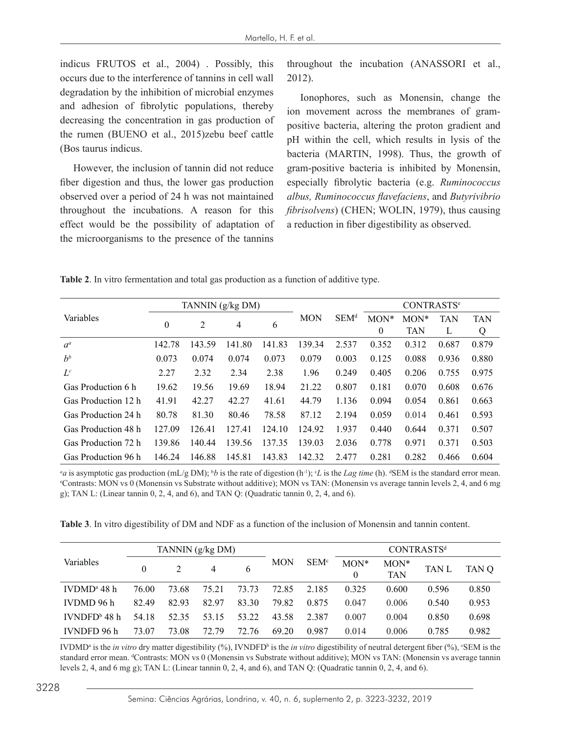indicus FRUTOS et al., 2004) . Possibly, this occurs due to the interference of tannins in cell wall degradation by the inhibition of microbial enzymes and adhesion of fibrolytic populations, thereby decreasing the concentration in gas production of the rumen (BUENO et al., 2015)zebu beef cattle (Bos taurus indicus.

However, the inclusion of tannin did not reduce fiber digestion and thus, the lower gas production observed over a period of 24 h was not maintained throughout the incubations. A reason for this effect would be the possibility of adaptation of the microorganisms to the presence of the tannins

throughout the incubation (ANASSORI et al., 2012).

Ionophores, such as Monensin, change the ion movement across the membranes of grampositive bacteria, altering the proton gradient and pH within the cell, which results in lysis of the bacteria (MARTIN, 1998). Thus, the growth of gram-positive bacteria is inhibited by Monensin, especially fibrolytic bacteria (e.g. *Ruminococcus albus, Ruminococcus flavefaciens*, and *Butyrivibrio fibrisolvens*) (CHEN; WOLIN, 1979), thus causing a reduction in fiber digestibility as observed.

| Table 2. In vitro fermentation and total gas production as a function of additive type. |  |  |
|-----------------------------------------------------------------------------------------|--|--|
|-----------------------------------------------------------------------------------------|--|--|

|                     |          | TANNIN (g/kg DM) |        |        | <b>MON</b> | SEM <sup>d</sup> | <b>CONTRASTS<sup>e</sup></b> |            |              |            |
|---------------------|----------|------------------|--------|--------|------------|------------------|------------------------------|------------|--------------|------------|
| Variables           |          | 2                |        | 6      |            |                  | $MON*$                       | $MON*$     | <b>TAN</b>   | <b>TAN</b> |
|                     | $\theta$ |                  | 4      |        |            |                  | $\mathbf{0}$                 | <b>TAN</b> | $\mathbf{L}$ | Q          |
| $a^a$               | 142.78   | 143.59           | 41.80  | 141.83 | 139.34     | 2.537            | 0.352                        | 0.312      | 0.687        | 0.879      |
| $h^b$               | 0.073    | 0.074            | 0.074  | 0.073  | 0.079      | 0.003            | 0.125                        | 0.088      | 0.936        | 0.880      |
| $L^c$               | 2.27     | 2.32             | 2.34   | 2.38   | 1.96       | 0.249            | 0.405                        | 0.206      | 0.755        | 0.975      |
| Gas Production 6 h  | 19.62    | 19.56            | 19.69  | 18.94  | 21.22      | 0.807            | 0.181                        | 0.070      | 0.608        | 0.676      |
| Gas Production 12 h | 41.91    | 42.27            | 42.27  | 41.61  | 44.79      | 1.136            | 0.094                        | 0.054      | 0.861        | 0.663      |
| Gas Production 24 h | 80.78    | 81.30            | 80.46  | 78.58  | 87.12      | 2.194            | 0.059                        | 0.014      | 0.461        | 0.593      |
| Gas Production 48 h | 127.09   | 126.41           | 127.41 | 124.10 | 124.92     | 1.937            | 0.440                        | 0.644      | 0.371        | 0.507      |
| Gas Production 72 h | 139.86   | 140.44           | 139.56 | 137.35 | 139.03     | 2.036            | 0.778                        | 0.971      | 0.371        | 0.503      |
| Gas Production 96 h | 146.24   | 146.88           | 145.81 | 143.83 | 142.32     | 2.477            | 0.281                        | 0.282      | 0.466        | 0.604      |

*a* is asymptotic gas production (mL/g DM); <sup>b</sup>b is the rate of digestion (h<sup>-1</sup>); *C* is the *Lag time* (h). <sup>a</sup>SEM is the standard error mean.  $\epsilon$  contrasts: MON vs 0. (Monensin vs average tannin levels 2.4, and 6 mg) Contrasts: MON vs 0 (Monensin vs Substrate without additive); MON vs TAN: (Monensin vs average tannin levels 2, 4, and 6 mg g); TAN L: (Linear tannin 0, 2, 4, and 6), and TAN Q: (Quadratic tannin 0, 2, 4, and 6).

**Table 3**. In vitro digestibility of DM and NDF as a function of the inclusion of Monensin and tannin content.

|                           |       |       | TANNIN (g/kg DM) |       |            | SEM <sup>c</sup> | <b>CONTRASTSd</b> |                      |       |       |  |
|---------------------------|-------|-------|------------------|-------|------------|------------------|-------------------|----------------------|-------|-------|--|
| Variables                 | 0     |       |                  |       | <b>MON</b> |                  | $MON*$<br>0       | $MON*$<br><b>TAN</b> | TAN L | TAN O |  |
| IVDMD <sup>a</sup> 48 $h$ | 76.00 | 73.68 | 75 21            | 73.73 | 72.85      | 2.185            | 0.325             | 0.600                | 0.596 | 0.850 |  |
| IVDMD 96 h                | 82.49 | 82.93 | 82.97            | 83.30 | 79.82      | 0.875            | 0.047             | 0.006                | 0.540 | 0.953 |  |
| IVNDFD <sup>b</sup> 48 h  | 54.18 | 52.35 | 53.15            | 53.22 | 43.58      | 2.387            | 0.007             | 0.004                | 0.850 | 0.698 |  |
| IVNDFD 96 h               | 73.07 | 73.08 | 72.79            | 72.76 | 69.20      | 0.987            | 0.014             | 0.006                | 0.785 | 0.982 |  |

IVDMD<sup>a</sup> is the *in vitro* dry matter digestibility (%), IVNDFD<sup>b</sup> is the *in vitro* digestibility of neutral detergent fiber (%), *CSEM* is the standard error mean. <sup>d</sup>Contrasts: MON vs 0 (Monensin vs Substrate without additive); MON vs TAN: (Monensin vs average tannin levels 2, 4, and 6 mg g); TAN L: (Linear tannin 0, 2, 4, and 6), and TAN Q: (Quadratic tannin 0, 2, 4, and 6).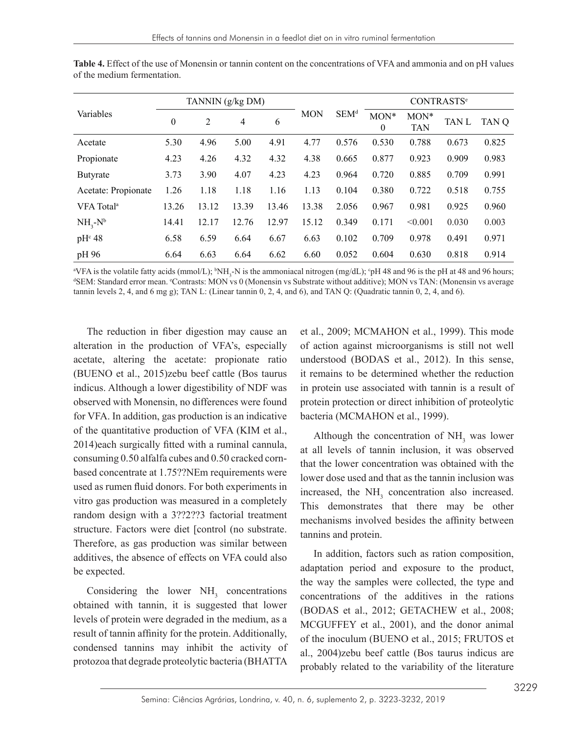| Variables              | TANNIN (g/kg DM) |       |                |       |            |                  | <b>CONTRASTS<sup>e</sup></b> |                      |       |       |
|------------------------|------------------|-------|----------------|-------|------------|------------------|------------------------------|----------------------|-------|-------|
|                        | $\mathbf{0}$     | 2     | $\overline{4}$ | 6     | <b>MON</b> | SEM <sup>d</sup> | MON*<br>$\mathbf{0}$         | $MON*$<br><b>TAN</b> | TAN L | TAN Q |
| Acetate                | 5.30             | 4.96  | 5.00           | 4.91  | 4.77       | 0.576            | 0.530                        | 0.788                | 0.673 | 0.825 |
| Propionate             | 4.23             | 4.26  | 4.32           | 4.32  | 4.38       | 0.665            | 0.877                        | 0.923                | 0.909 | 0.983 |
| <b>Butyrate</b>        | 3.73             | 3.90  | 4.07           | 4.23  | 4.23       | 0.964            | 0.720                        | 0.885                | 0.709 | 0.991 |
| Acetate: Propionate    | 1.26             | 1.18  | 1.18           | 1.16  | 1.13       | 0.104            | 0.380                        | 0.722                | 0.518 | 0.755 |
| VFA Total <sup>a</sup> | 13.26            | 13.12 | 13.39          | 13.46 | 13.38      | 2.056            | 0.967                        | 0.981                | 0.925 | 0.960 |
| $NH_{3}$ - $N^{b}$     | 14.41            | 12.17 | 12.76          | 12.97 | 15.12      | 0.349            | 0.171                        | < 0.001              | 0.030 | 0.003 |
| pH <sup>c</sup> 48     | 6.58             | 6.59  | 6.64           | 6.67  | 6.63       | 0.102            | 0.709                        | 0.978                | 0.491 | 0.971 |
| pH 96                  | 6.64             | 6.63  | 6.64           | 6.62  | 6.60       | 0.052            | 0.604                        | 0.630                | 0.818 | 0.914 |

**Table 4.** Effect of the use of Monensin or tannin content on the concentrations of VFA and ammonia and on pH values of the medium fermentation.

<sup>a</sup>VFA is the volatile fatty acids (mmol/L); <sup>b</sup>NH<sub>3</sub>-N is the ammoniacal nitrogen (mg/dL); <sup>c</sup>pH 48 and 96 is the pH at 48 and 96 hours;<br><sup>d</sup>SEM: Standard error mean. <sup>e</sup>Contrasts: MON vs 0 (Monensin vs Substrate without a SEM: Standard error mean. <sup>e</sup>Contrasts: MON vs 0 (Monensin vs Substrate without additive); MON vs TAN: (Monensin vs average tannin levels 2, 4, and 6 mg g); TAN L: (Linear tannin 0, 2, 4, and 6), and TAN Q: (Quadratic tannin 0, 2, 4, and 6).

The reduction in fiber digestion may cause an alteration in the production of VFA's, especially acetate, altering the acetate: propionate ratio (BUENO et al., 2015)zebu beef cattle (Bos taurus indicus. Although a lower digestibility of NDF was observed with Monensin, no differences were found for VFA. In addition, gas production is an indicative of the quantitative production of VFA (KIM et al., 2014)each surgically fitted with a ruminal cannula, consuming 0.50 alfalfa cubes and 0.50 cracked cornbased concentrate at 1.75??NEm requirements were used as rumen fluid donors. For both experiments in vitro gas production was measured in a completely random design with a 3??2??3 factorial treatment structure. Factors were diet [control (no substrate. Therefore, as gas production was similar between additives, the absence of effects on VFA could also be expected.

Considering the lower  $NH<sub>3</sub>$  concentrations obtained with tannin, it is suggested that lower levels of protein were degraded in the medium, as a result of tannin affinity for the protein. Additionally, condensed tannins may inhibit the activity of protozoa that degrade proteolytic bacteria (BHATTA

et al., 2009; MCMAHON et al., 1999). This mode of action against microorganisms is still not well understood (BODAS et al., 2012). In this sense, it remains to be determined whether the reduction in protein use associated with tannin is a result of protein protection or direct inhibition of proteolytic bacteria (MCMAHON et al., 1999).

Although the concentration of  $NH<sub>3</sub>$  was lower at all levels of tannin inclusion, it was observed that the lower concentration was obtained with the lower dose used and that as the tannin inclusion was increased, the  $NH<sub>3</sub>$  concentration also increased. This demonstrates that there may be other mechanisms involved besides the affinity between tannins and protein.

In addition, factors such as ration composition, adaptation period and exposure to the product, the way the samples were collected, the type and concentrations of the additives in the rations (BODAS et al., 2012; GETACHEW et al., 2008; MCGUFFEY et al., 2001), and the donor animal of the inoculum (BUENO et al., 2015; FRUTOS et al., 2004)zebu beef cattle (Bos taurus indicus are probably related to the variability of the literature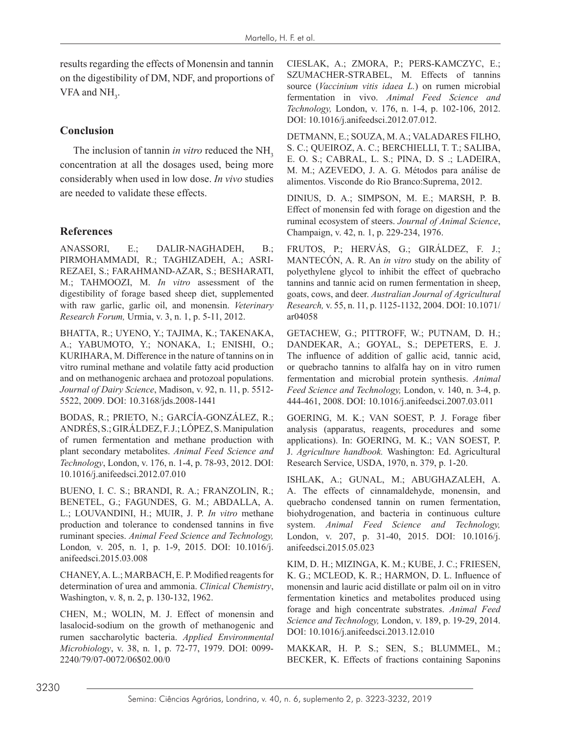results regarding the effects of Monensin and tannin on the digestibility of DM, NDF, and proportions of VFA and  $NH<sub>3</sub>$ .

# **Conclusion**

The inclusion of tannin *in vitro* reduced the NH<sub>3</sub> concentration at all the dosages used, being more considerably when used in low dose. *In vivo* studies are needed to validate these effects.

# **References**

ANASSORI, E.; DALIR-NAGHADEH, B.; PIRMOHAMMADI, R.; TAGHIZADEH, A.; ASRI-REZAEI, S.; FARAHMAND-AZAR, S.; BESHARATI, M.; TAHMOOZI, M. *In vitro* assessment of the digestibility of forage based sheep diet, supplemented with raw garlic, garlic oil, and monensin. *Veterinary Research Forum,* Urmia, v. 3, n. 1, p. 5-11, 2012.

BHATTA, R.; UYENO, Y.; TAJIMA, K.; TAKENAKA, A.; YABUMOTO, Y.; NONAKA, I.; ENISHI, O.; KURIHARA, M. Difference in the nature of tannins on in vitro ruminal methane and volatile fatty acid production and on methanogenic archaea and protozoal populations. *Journal of Dairy Science*, Madison, v. 92, n. 11, p. 5512- 5522, 2009. DOI: 10.3168/jds.2008-1441

BODAS, R.; PRIETO, N.; GARCÍA-GONZÁLEZ, R.; ANDRÉS, S.; GIRÁLDEZ, F. J.; LÓPEZ, S. Manipulation of rumen fermentation and methane production with plant secondary metabolites. *Animal Feed Science and Technology*, London, v. 176, n. 1-4, p. 78-93, 2012. DOI: 10.1016/j.anifeedsci.2012.07.010

BUENO, I. C. S.; BRANDI, R. A.; FRANZOLIN, R.; BENETEL, G.; FAGUNDES, G. M.; ABDALLA, A. L.; LOUVANDINI, H.; MUIR, J. P. *In vitro* methane production and tolerance to condensed tannins in five ruminant species. *Animal Feed Science and Technology,*  London*,* v. 205, n. 1, p. 1-9, 2015. DOI: 10.1016/j. anifeedsci.2015.03.008

CHANEY, A. L.; MARBACH, E. P. Modified reagents for determination of urea and ammonia. *Clinical Chemistry*, Washington, v. 8, n. 2, p. 130-132, 1962.

CHEN, M.; WOLIN, M. J. Effect of monensin and lasalocid-sodium on the growth of methanogenic and rumen saccharolytic bacteria. *Applied Environmental Microbiology*, v. 38, n. 1, p. 72-77, 1979. DOI: 0099- 2240/79/07-0072/06\$02.00/0

CIESLAK, A.; ZMORA, P.; PERS-KAMCZYC, E.; SZUMACHER-STRABEL, M. Effects of tannins source (*Vaccinium vitis idaea L.*) on rumen microbial fermentation in vivo. *Animal Feed Science and Technology,* London, v. 176, n. 1-4, p. 102-106, 2012. DOI: 10.1016/j.anifeedsci.2012.07.012.

DETMANN, E.; SOUZA, M. A.; VALADARES FILHO, S. C.; QUEIROZ, A. C.; BERCHIELLI, T. T.; SALIBA, E. O. S.; CABRAL, L. S.; PINA, D. S .; LADEIRA, M. M.; AZEVEDO, J. A. G. Métodos para análise de alimentos. Visconde do Rio Branco:Suprema, 2012.

DINIUS, D. A.; SIMPSON, M. E.; MARSH, P. B. Effect of monensin fed with forage on digestion and the ruminal ecosystem of steers. *Journal of Animal Science*, Champaign, v. 42, n. 1, p. 229-234, 1976.

FRUTOS, P.; HERVÁS, G.; GIRÁLDEZ, F. J.; MANTECÓN, A. R. An *in vitro* study on the ability of polyethylene glycol to inhibit the effect of quebracho tannins and tannic acid on rumen fermentation in sheep, goats, cows, and deer. *Australian Journal of Agricultural Research,* v. 55, n. 11, p. 1125-1132, 2004. DOI: 10.1071/ ar04058

GETACHEW, G.; PITTROFF, W.; PUTNAM, D. H.; DANDEKAR, A.; GOYAL, S.; DEPETERS, E. J. The influence of addition of gallic acid, tannic acid, or quebracho tannins to alfalfa hay on in vitro rumen fermentation and microbial protein synthesis. *Animal Feed Science and Technology,* London, v. 140, n. 3-4, p. 444-461, 2008. DOI: 10.1016/j.anifeedsci.2007.03.011

GOERING, M. K.; VAN SOEST, P. J. Forage fiber analysis (apparatus, reagents, procedures and some applications). In: GOERING, M. K.; VAN SOEST, P. J. *Agriculture handbook.* Washington: Ed. Agricultural Research Service, USDA, 1970, n. 379, p. 1-20.

ISHLAK, A.; GUNAL, M.; ABUGHAZALEH, A. A. The effects of cinnamaldehyde, monensin, and quebracho condensed tannin on rumen fermentation, biohydrogenation, and bacteria in continuous culture system. *Animal Feed Science and Technology,* London, v. 207, p. 31-40, 2015. DOI: 10.1016/j. anifeedsci.2015.05.023

KIM, D. H.; MIZINGA, K. M.; KUBE, J. C.; FRIESEN, K. G.; MCLEOD, K. R.; HARMON, D. L. Influence of monensin and lauric acid distillate or palm oil on in vitro fermentation kinetics and metabolites produced using forage and high concentrate substrates. *Animal Feed Science and Technology,* London, v. 189, p. 19-29, 2014. DOI: 10.1016/j.anifeedsci.2013.12.010

MAKKAR, H. P. S.; SEN, S.; BLUMMEL, M.; BECKER, K. Effects of fractions containing Saponins